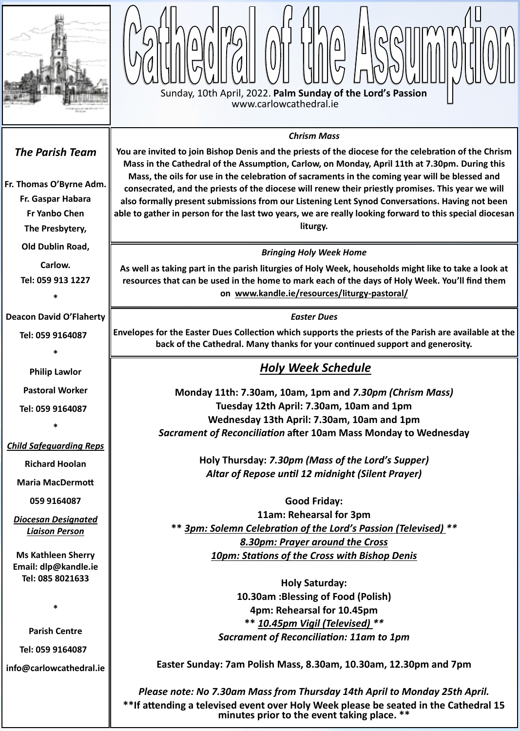# *Holy Week Schedule*

**Monday 11th: 7.30am, 10am, 1pm and** *7.30pm (Chrism Mass)* **Tuesday 12th April: 7.30am, 10am and 1pm Wednesday 13th April: 7.30am, 10am and 1pm** *Sacrament of Reconciliation* **after 10am Mass Monday to Wednesday**

> **Holy Thursday:** *7.30pm (Mass of the Lord's Supper) Altar of Repose until 12 midnight (Silent Prayer)*

**Good Friday: 11am: Rehearsal for 3pm \*\*** *3pm: Solemn Celebration of the Lord's Passion (Televised) \*\* 8.30pm: Prayer around the Cross*

*10pm: Stations of the Cross with Bishop Denis*

**Holy Saturday: 10.30am :Blessing of Food (Polish) 4pm: Rehearsal for 10.45pm \*\*** *10.45pm Vigil (Televised) \*\* Sacrament of Reconciliation: 11am to 1pm*

**Easter Sunday: 7am Polish Mass, 8.30am, 10.30am, 12.30pm and 7pm**

O<br>Vl **You are invited to join Bishop Denis and the priests of the diocese for the celebration of the Chrism Mass in the Cathedral of the Assumption, Carlow, on Monday, April 11th at 7.30pm. During this Mass, the oils for use in the celebration of sacraments in the coming year will be blessed and consecrated, and the priests of the diocese will renew their priestly promises. This year we will also formally present submissions from our Listening Lent Synod Conversations. Having not been able to gather in person for the last two years, we are really looking forward to this special diocesan liturgy.**

*Please note: No 7.30am Mass from Thursday 14th April to Monday 25th April.* **\*\*If attending a televised event over Holy Week please be seated in the Cathedral 15 minutes prior to the event taking place. \*\***





*Chrism Mass* 

## *The Parish Team*

**[Fr. Thomas O](http://www.carlowcathedral.ie/2017/09/fr-padraig-shelley-c-c/)'Byrne Adm.**

**Fr. Gaspar Habara Fr Yanbo Chen**

**The Presbytery,** 

**Old Dublin Road,** 

**Carlow. Tel: 059 913 1227**

**\***

#### **Deacon David O'Flaherty**

**Tel: 059 9164087** 

**\***

**Philip Lawlor**

**Pastoral Worker**

**Tel: 059 9164087** 

**\***

#### *Child Safeguarding Reps*

**Richard Hoolan**

**Maria MacDermott**

**059 9164087**

*Diocesan Designated Liaison Person*

**Ms Kathleen Sherry Email: dlp@kandle.ie Tel: 085 8021633 \* Parish Centre Tel: 059 9164087 info@carlowcathedral.ie**

### *Bringing Holy Week Home*

**As well as taking part in the parish liturgies of Holy Week, households might like to take a look at resources that can be used in the home to mark each of the days of Holy Week. You'll find them on [www.kandle.ie/resources/liturgy](http://www.kandle.ie/resources/liturgy-pastoral/)-pastoral/**

*Easter Dues*

**Envelopes for the Easter Dues Collection which supports the priests of the Parish are available at the back of the Cathedral. Many thanks for your continued support and generosity.**